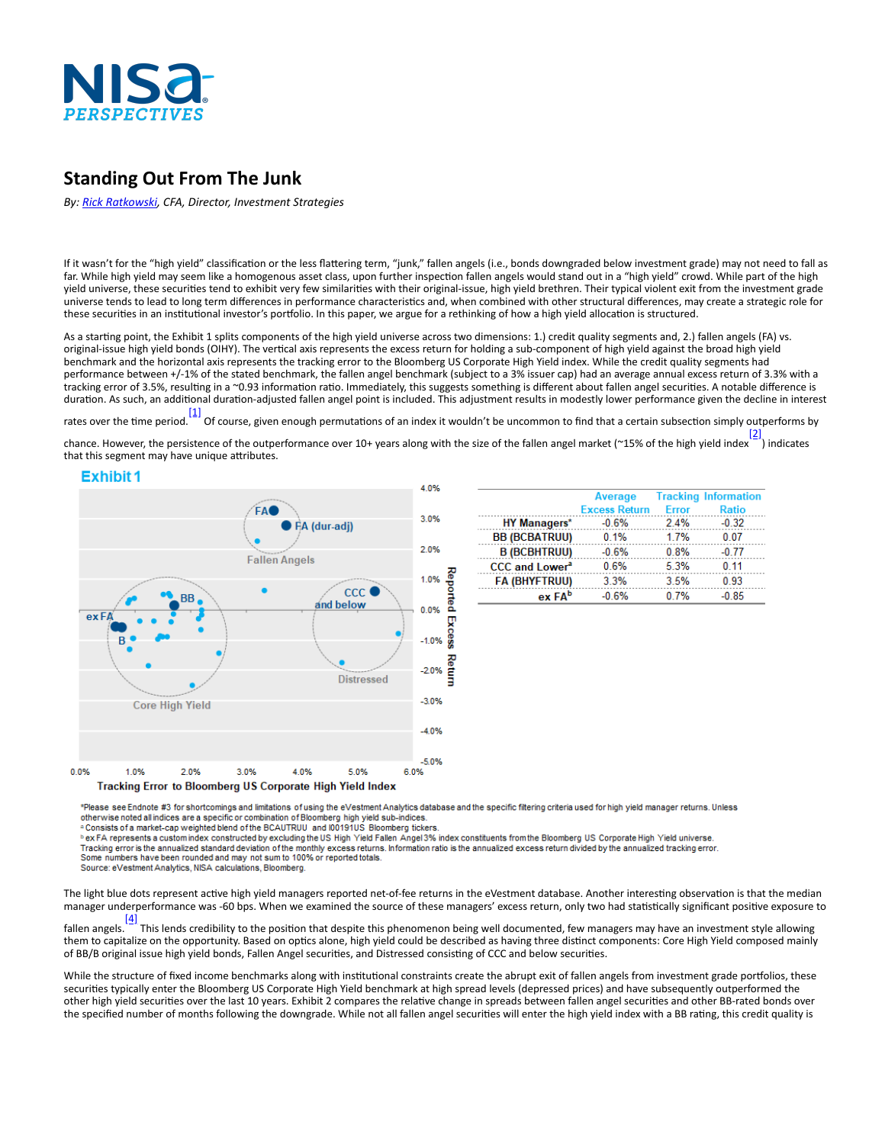<span id="page-0-0"></span>

## **Standing Out From The Junk**

*By: [Rick Ratkowski,](mailto:rick.ratkowski@nisa.com) CFA, Director, Investment Strategies*

If it wasn't for the "high yield" classification or the less flattering term, "junk," fallen angels (i.e., bonds downgraded below investment grade) may not need to fall as far. While high yield may seem like a homogenous asset class, upon further inspection fallen angels would stand out in a "high yield" crowd. While part of the high yield universe, these securities tend to exhibit very few similarities with their original-issue, high yield brethren. Their typical violent exit from the investment grade universe tends to lead to long term differences in performance characteristics and, when combined with other structural differences, may create a strategic role for these securities in an institutional investor's portfolio. In this paper, we argue for a rethinking of how a high yield allocation is structured.

As a starting point, the Exhibit 1 splits components of the high yield universe across two dimensions: 1.) credit quality segments and, 2.) fallen angels (FA) vs. original-issue high yield bonds (OIHY). The vertical axis represents the excess return for holding a sub-component of high yield against the broad high yield benchmark and the horizontal axis represents the tracking error to the Bloomberg US Corporate High Yield index. While the credit quality segments had performance between +/-1% of the stated benchmark, the fallen angel benchmark (subject to a 3% issuer cap) had an average annual excess return of 3.3% with a tracking error of 3.5%, resulting in a ~0.93 information ratio. Immediately, this suggests something is different about fallen angel securities. A notable difference is duration. As such, an additional duration-adjusted fallen angel point is included. This adjustment results in modestly lower performance given the decline in interest

rates over the time period. [[1\]](#page-3-0)<br>rates over the time period. [1] Of course, given enough permutations of an index it wouldn't be uncommon to find that a certain subsection simply outperforms by

chance. However, the persistence of the outperformance over 10+ years along with the size of the fallen angel market (~15% of the high yield index [[2\]](#page-3-0) ) indicates that this segment may have unique attributes.



|                                  | <b>Average</b>       |              | <b>Tracking Information</b> |
|----------------------------------|----------------------|--------------|-----------------------------|
|                                  | <b>Excess Return</b> | <b>Error</b> | Ratio                       |
| <b>HY Managers*</b>              | $-0.6%$              | 2.4%         | $-0.32$                     |
| <b>BB (BCBATRUU)</b>             | 0.1%                 | 1.7%         | 0.07                        |
| <b>B (BCBHTRUU)</b>              | $-0.6%$              | 0.8%         | -0.77                       |
| <b>CCC and Lower<sup>a</sup></b> | 0.6%                 | 5.3%         | 0.11                        |
| <b>FA (BHYFTRUU)</b>             | 3.3%                 | 3.5%         | 0.93                        |
| exFA <sup>b</sup>                | $-0.6%$              | 0.7%         | $-0.85$                     |

\*Please see Endnote #3 for shortcomings and limitations of using the eVestment Analytics database and the specific filtering criteria used for high yield manager returns. Unless otherwise noted all indices are a specific or combination of Bloomberg high vield sub-indices.

a Consists of a market-cap weighted blend of the BCAUTRUU and I00191US Bloomberg tickers

b ex FA represents a customindex constructed by excluding the US High Yield Fallen Angel 3% index constituents from the Bloomberg US Corporate High Yield universe.

Tracking error is the annualized standard deviation of the monthly excess returns. Information ratio is the annualized excess return divided by the annualized tracking error.

Some numbers have been rounded and may not sum to 100% or reported totals.

Source: eVestment Analytics, NISA calculations, Bloomberg.

The light blue dots represent active high yield managers reported net-of-fee returns in the eVestment database. Another interesting observation is that the median manager underperformance was -60 bps. When we examined the source of these managers' excess return, only two had statistically significant positive exposure to

[\[4\]](#page-3-0)<br>fallen angels. This lends credibility to the position that despite this phenomenon being well documented, few managers may have an investment style allowing them to capitalize on the opportunity. Based on optics alone, high yield could be described as having three distinct components: Core High Yield composed mainly of BB/B original issue high yield bonds, Fallen Angel securities, and Distressed consisting of CCC and below securities.

While the structure of fixed income benchmarks along with institutional constraints create the abrupt exit of fallen angels from investment grade portfolios, these securities typically enter the Bloomberg US Corporate High Yield benchmark at high spread levels (depressed prices) and have subsequently outperformed the other high yield securities over the last 10 years. Exhibit 2 compares the relative change in spreads between fallen angel securities and other BB-rated bonds over the specified number of months following the downgrade. While not all fallen angel securities will enter the high yield index with a BB rating, this credit quality is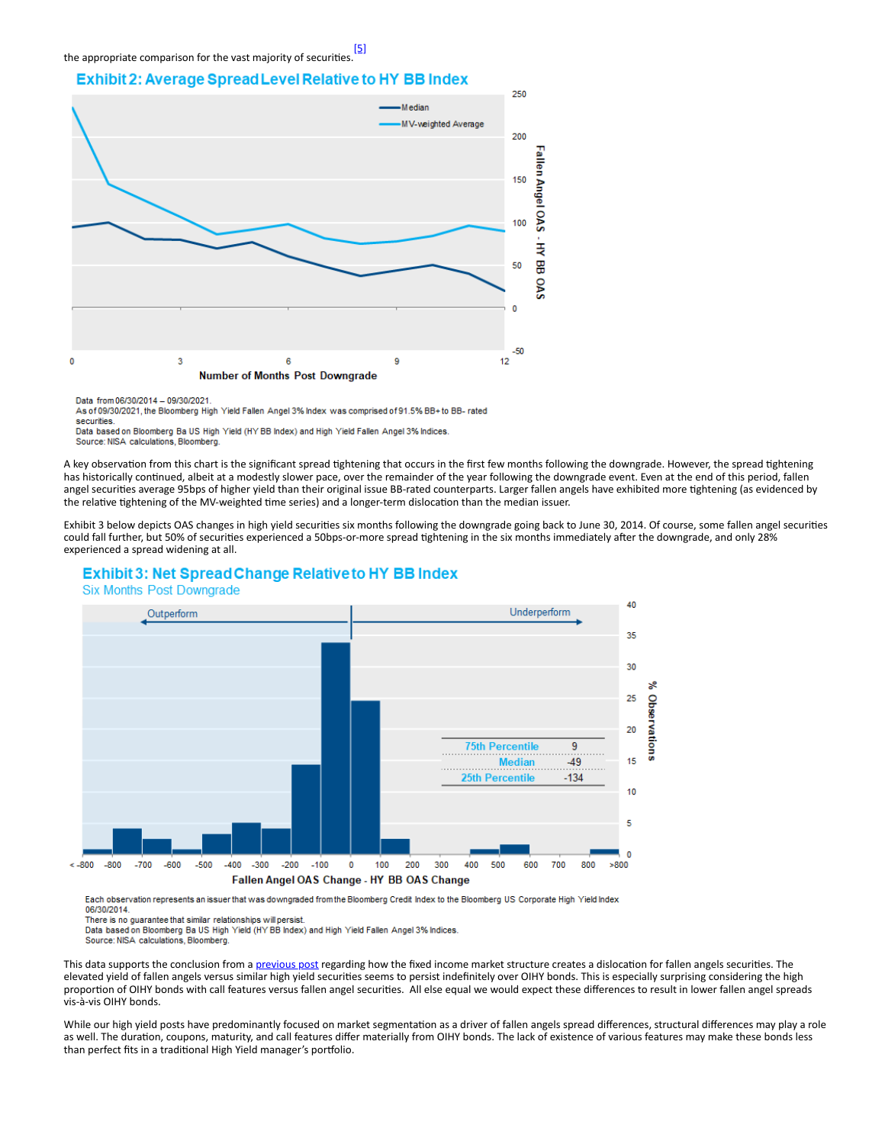#### <span id="page-1-0"></span>the appropriate comparison for the vast majority of securities. [\[5\]](#page-3-0)

### **Exhibit 2: Average Spread Level Relative to HY BB Index**



Data from 06/30/2014 - 09/30/2021

As of 09/30/2021, the Bloomberg High Yield Fallen Angel 3% Index was comprised of 91.5% BB+ to BB- rated

securities Data based on Bloomberg Ba US High Yield (HY BB Index) and High Yield Fallen Angel 3% Indices.

Source: NISA calculations, Bloomberg.

A key observation from this chart is the significant spread tightening that occurs in the first few months following the downgrade. However, the spread tightening has historically continued, albeit at a modestly slower pace, over the remainder of the year following the downgrade event. Even at the end of this period, fallen angel securities average 95bps of higher yield than their original issue BB-rated counterparts. Larger fallen angels have exhibited more tightening (as evidenced by the relative tightening of the MV-weighted time series) and a longer-term dislocation than the median issuer.

Exhibit 3 below depicts OAS changes in high yield securities six months following the downgrade going back to June 30, 2014. Of course, some fallen angel securities could fall further, but 50% of securities experienced a 50bps-or-more spread tightening in the six months immediately after the downgrade, and only 28% experienced a spread widening at all.

# **Exhibit 3: Net Spread Change Relative to HY BB Index**



Each observation represents an issuer that was downgraded from the Bloomberg Credit Index to the Bloomberg US Corporate High Yield Index

06/30/2014 There is no guarantee that similar relationships will persist

Data based on Bloomberg Ba US High Yield (HY BB Index) and High Yield Fallen Angel 3% Indices

Source: NISA calculations, Bloomberg.

This data supports the conclusion from a [previous](https://www.nisa.com/perspectives/the-fall-of-fallen-angels/) post regarding how the fixed income market structure creates a dislocation for fallen angels securities. The elevated yield of fallen angels versus similar high yield securities seems to persist indefinitely over OIHY bonds. This is especially surprising considering the high proportion of OIHY bonds with call features versus fallen angel securities. All else equal we would expect these differences to result in lower fallen angel spreads vis-à-vis OIHY bonds.

While our high yield posts have predominantly focused on market segmentation as a driver of fallen angels spread differences, structural differences may play a role as well. The duration, coupons, maturity, and call features differ materially from OIHY bonds. The lack of existence of various features may make these bonds less than perfect fits in a traditional High Yield manager's portfolio.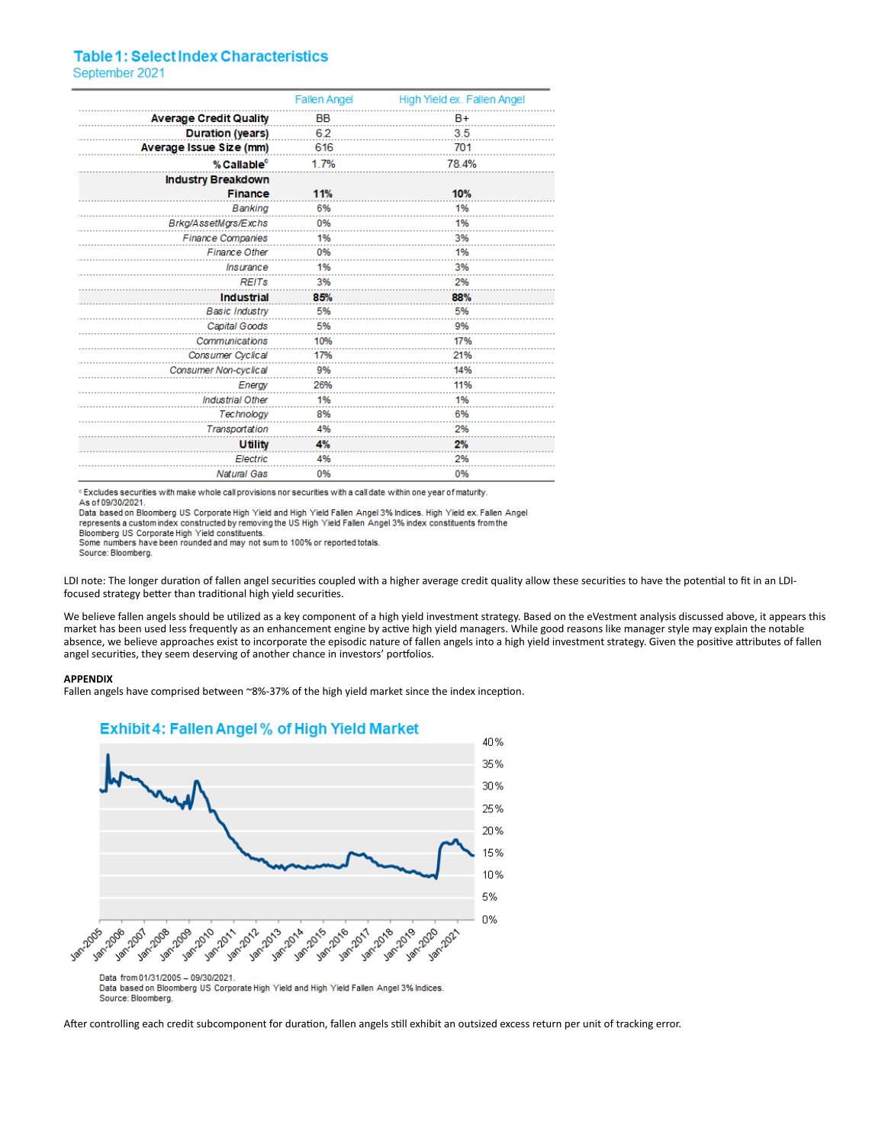## <span id="page-2-0"></span>**Table 1: Select Index Characteristics**

September 2021

|                               | <b>Fallen Angel</b> | High Yield ex. Fallen Angel |
|-------------------------------|---------------------|-----------------------------|
| <b>Average Credit Quality</b> | <b>BB</b>           | $B+$                        |
| <b>Duration (years)</b>       | 6.2                 | 3.5                         |
| Average Issue Size (mm)       | 616                 | 701                         |
| % Callable <sup>c</sup>       | 1.7%                | 78.4%                       |
| <b>Industry Breakdown</b>     |                     |                             |
| <b>Finance</b>                | 11%                 | 10%                         |
| Banking                       | 6%                  | 1%                          |
| Brkg/AssetMgrs/Exchs          | 0%                  | 1%                          |
| Finance Companies             | 1%                  | 3%                          |
| <b>Finance Other</b>          | 0%                  | 1%                          |
| Insurance                     | 1%                  | 3%                          |
| <b>REITs</b>                  | 3%                  | 2%                          |
| <b>Industrial</b>             | 85%                 | 88%                         |
| <b>Basic Industry</b>         | 5%                  | 5%                          |
| Capital Goods                 | 5%                  | 9%                          |
| Communications                | 10%                 | 17%                         |
| Consumer Cyclical             | 17%                 | 21%                         |
| Consumer Non-cyclical         | 9%                  | 14%                         |
| Energy                        | 26%                 | 11%                         |
| <b>Industrial Other</b>       | 1%                  | 1%                          |
| <b>Technology</b>             | 8%                  | 6%                          |
| Transportation                | 4%                  | 2%                          |
| <b>Utility</b>                | 4%                  | 2%                          |
| Electric                      | 4%                  | 2%                          |
| Natural Gas                   | 0%                  | 0%                          |

<sup>c</sup> Excludes securities with make whole call provisions nor securities with a call date within one year of maturity. As of 09/30/2021.

Data based on Bloomberg US Corporate High Yield and High Yield Fallen Angel 3% Indices. High Yield ex. Fallen Angel represents a customindex constructed by removing the US High Yield Fallen Angel 3% index constituents from the

Bloomberg US Corporate High Yield constituents.<br>Some numbers have been rounded and may not sum to 100% or reported totals.

Source: Bloomberg.

LDI note: The longer duration of fallen angel securities coupled with a higher average credit quality allow these securities to have the potential to fit in an LDIfocused strategy better than traditional high yield securities.

We believe fallen angels should be utilized as a key component of a high yield investment strategy. Based on the eVestment analysis discussed above, it appears this market has been used less frequently as an enhancement engine by active high yield managers. While good reasons like manager style may explain the notable absence, we believe approaches exist to incorporate the episodic nature of fallen angels into a high yield investment strategy. Given the positive attributes of fallen angel securities, they seem deserving of another chance in investors' portfolios.

#### **APPENDIX**

Fallen angels have comprised between ~8%-37% of the high yield market since the index inception.



### **Exhibit 4: Fallen Angel % of High Yield Market**

Data based on Bloomberg US Corporate High Yield and High Yield Fallen Angel 3% Indices. Source: Bloomberg.

After controlling each credit subcomponent for duration, fallen angels still exhibit an outsized excess return per unit of tracking error.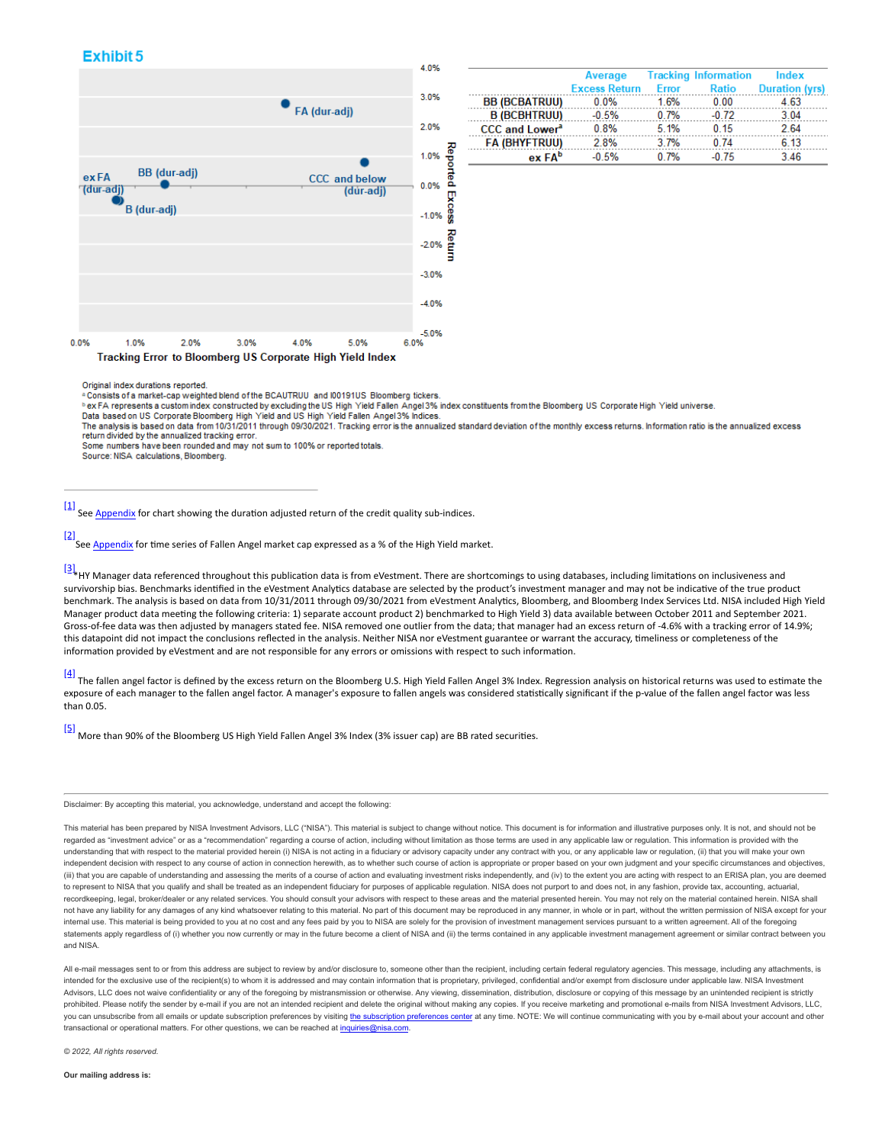### **Exhibit 5**

<span id="page-3-0"></span>

|      |                                  | Average              |       | <b>Tracking Information</b> | Index          |
|------|----------------------------------|----------------------|-------|-----------------------------|----------------|
|      |                                  | <b>Excess Return</b> | Error | Ratio                       | Duration (yrs) |
|      | <b>BB (BCBATRUU)</b>             | 0.0%                 | 1.6%  | 0.00                        | 4.63           |
|      | <b>B (BCBHTRUU)</b>              | $-0.5%$              | 0.7%  | $-0.72$                     | 3.04           |
|      | <b>CCC and Lower<sup>a</sup></b> | 0.8%                 | 5.1%  | 0.15                        | 2.64           |
|      | <b>FA (BHYFTRUU)</b>             | 2.8%                 | 3.7%  | 0.74                        | 6.13           |
| Repo | $ex$ $FAb$                       | $-0.5%$              | 0.7%  | $-0.75$                     | 3.46           |

Original index durations reported

Consists of a market-cap weighted blend of the BCAUTRUU and 100191US Bloomberg tickers

**Pex FA represents a custom index constructed by excluding the US High Yield Fallen Angel 3% index constituents from the Bloomberg US Corporate High Yield universe.**<br>Data based on US Corporate Bloomberg High Yield and US H

The analysis is based on data from 10/31/2011 through 09/30/2021. Tracking error is the annualized standard deviation of the monthly excess returns. Information ratio is the annualized excess return divided by the annualized tracking error.

Some numbers have been rounded and may not sum to 100% or reported totals.

Source: NISA calculations, Bloomberg.

[\[1\]](#page-0-0) See Appendix for chart showing the duration adjusted return of the credit quality sub-indices.

[\[2\]](#page-0-0) See [Appendix](#page-2-0) for me series of Fallen Angel market cap expressed as a % of the High Yield market.

 $\frac{[3]}{4}$  $\frac{[3]}{4}$  $\frac{[3]}{4}$  HY Manager data referenced throughout this publication data is from eVestment. There are shortcomings to using databases, including limitations on inclusiveness and survivorship bias. Benchmarks identified in the eVestment Analytics database are selected by the product's investment manager and may not be indicative of the true product benchmark. The analysis is based on data from 10/31/2011 through 09/30/2021 from eVestment Analytics, Bloomberg, and Bloomberg Index Services Ltd. NISA included High Yield Manager product data meeting the following criteria: 1) separate account product 2) benchmarked to High Yield 3) data available between October 2011 and September 2021. Gross-of-fee data was then adjusted by managers stated fee. NISA removed one outlier from the data; that manager had an excess return of -4.6% with a tracking error of 14.9%; this datapoint did not impact the conclusions reflected in the analysis. Neither NISA nor eVestment guarantee or warrant the accuracy, meliness or completeness of the information provided by eVestment and are not responsible for any errors or omissions with respect to such information.

[\[4\]](#page-0-0) The fallen angel factor is defined by the excess return on the Bloomberg U.S. High Yield Fallen Angel 3% Index. Regression analysis on historical returns was used to estimate the exposure of each manager to the fallen angel factor. A manager's exposure to fallen angels was considered statistically significant if the p-value of the fallen angel factor was less than 0.05.

[\[5\]](#page-1-0) More than 90% of the Bloomberg US High Yield Fallen Angel 3% Index (3% issuer cap) are BB rated securities.

Disclaimer: By accepting this material, you acknowledge, understand and accept the following:

This material has been prepared by NISA Investment Advisors, LLC ("NISA"). This material is subject to change without notice. This document is for information and illustrative purposes only. It is not, and should not be regarded as "investment advice" or as a "recommendation" regarding a course of action, including without limitation as those terms are used in any applicable law or regulation. This information is provided with the understanding that with respect to the material provided herein (i) NISA is not acting in a fiduciary or advisory capacity under any contract with you, or any applicable law or regulation, (ii) that you will make your own independent decision with respect to any course of action in connection herewith, as to whether such course of action is appropriate or proper based on your own judgment and your specific circumstances and objectives, (iii) that you are capable of understanding and assessing the merits of a course of action and evaluating investment risks independently, and (iv) to the extent you are acting with respect to an ERISA plan, you are deemed to represent to NISA that you qualify and shall be treated as an independent fiduciary for purposes of applicable regulation. NISA does not purport to and does not, in any fashion, provide tax, accounting, actuarial, recordkeeping, legal, broker/dealer or any related services. You should consult your advisors with respect to these areas and the material presented herein. You may not rely on the material contained herein. NISA shall not have any liability for any damages of any kind whatsoever relating to this material. No part of this document may be reproduced in any manner, in whole or in part, without the written permission of NISA except for your internal use. This material is being provided to you at no cost and any fees paid by you to NISA are solely for the provision of investment management services pursuant to a written agreement. All of the foregoing statements apply regardless of (i) whether you now currently or may in the future become a client of NISA and (ii) the terms contained in any applicable investment management agreement or similar contract between you and NISA

All e-mail messages sent to or from this address are subject to review by and/or disclosure to, someone other than the recipient, including certain federal regulatory agencies. This message, including any attachments, is intended for the exclusive use of the recipient(s) to whom it is addressed and may contain information that is proprietary, privileged, confidential and/or exempt from disclosure under applicable law. NISA Investment Advisors, LLC does not waive confidentiality or any of the foregoing by mistransmission or otherwise. Any viewing, dissemination, distribution, disclosure or copying of this message by an unintended recipient is strictly prohibited. Please notify the sender by e-mail if you are not an intended recipient and delete the original without making any copies. If you receive marketing and promotional e-mails from NISA Investment Advisors, LLC, you can unsubscribe from all emails or update subscription preferences by visiting [the subscription preferences center](https://preview.pardot.com/email/draft/previewSourceSessionable/id/%7B%7BEmailPreferenceCenter%7D%7D) at any time. NOTE: We will continue communicating with you by e-mail about your account and other transactional or operational matters. For other questions, we can be reached at inqu

*© 2022, All rights reserved.*

**Our mailing address is:**